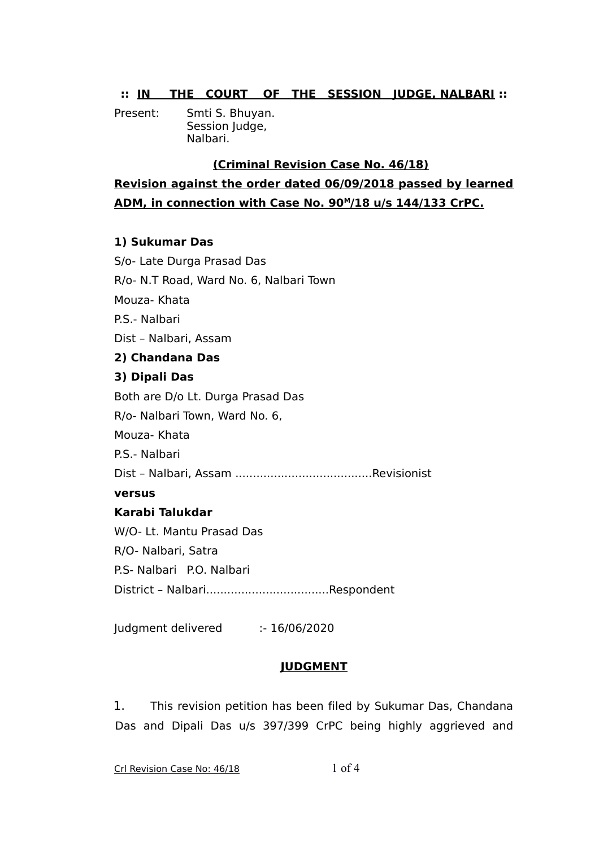## **:: IN THE COURT OF THE SESSION JUDGE, NALBARI ::**

Present: Smti S. Bhuyan. Session Judge, Nalbari.

## **(Criminal Revision Case No. 46/18)**

**Revision against the order dated 06/09/2018 passed by learned** ADM, in connection with Case No. 90<sup>M</sup>/18 u/s 144/133 CrPC.

## **1) Sukumar Das**

S/o- Late Durga Prasad Das R/o- N.T Road, Ward No. 6, Nalbari Town Mouza- Khata P.S.- Nalbari Dist – Nalbari, Assam **2) Chandana Das 3) Dipali Das** Both are D/o Lt. Durga Prasad Das R/o- Nalbari Town, Ward No. 6, Mouza- Khata P.S.- Nalbari Dist – Nalbari, Assam .......................................Revisionist **versus Karabi Talukdar** W/O- Lt. Mantu Prasad Das R/O- Nalbari, Satra P.S- Nalbari P.O. Nalbari District – Nalbari...................................Respondent

Judgment delivered :- 16/06/2020

## **JUDGMENT**

1. This revision petition has been filed by Sukumar Das, Chandana Das and Dipali Das u/s 397/399 CrPC being highly aggrieved and

Crl Revision Case No: 46/18 1 of 4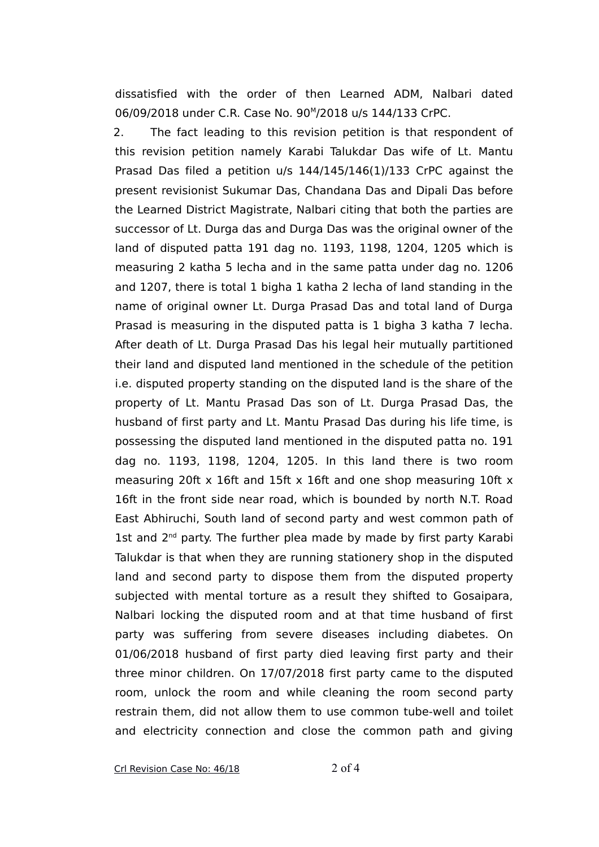dissatisfied with the order of then Learned ADM, Nalbari dated 06/09/2018 under C.R. Case No. 90<sup>M</sup>/2018 u/s 144/133 CrPC.

2. The fact leading to this revision petition is that respondent of this revision petition namely Karabi Talukdar Das wife of Lt. Mantu Prasad Das filed a petition u/s 144/145/146(1)/133 CrPC against the present revisionist Sukumar Das, Chandana Das and Dipali Das before the Learned District Magistrate, Nalbari citing that both the parties are successor of Lt. Durga das and Durga Das was the original owner of the land of disputed patta 191 dag no. 1193, 1198, 1204, 1205 which is measuring 2 katha 5 lecha and in the same patta under dag no. 1206 and 1207, there is total 1 bigha 1 katha 2 lecha of land standing in the name of original owner Lt. Durga Prasad Das and total land of Durga Prasad is measuring in the disputed patta is 1 bigha 3 katha 7 lecha. After death of Lt. Durga Prasad Das his legal heir mutually partitioned their land and disputed land mentioned in the schedule of the petition i.e. disputed property standing on the disputed land is the share of the property of Lt. Mantu Prasad Das son of Lt. Durga Prasad Das, the husband of first party and Lt. Mantu Prasad Das during his life time, is possessing the disputed land mentioned in the disputed patta no. 191 dag no. 1193, 1198, 1204, 1205. In this land there is two room measuring 20ft x 16ft and 15ft x 16ft and one shop measuring 10ft x 16ft in the front side near road, which is bounded by north N.T. Road East Abhiruchi, South land of second party and west common path of 1st and 2<sup>nd</sup> party. The further plea made by made by first party Karabi Talukdar is that when they are running stationery shop in the disputed land and second party to dispose them from the disputed property subjected with mental torture as a result they shifted to Gosaipara, Nalbari locking the disputed room and at that time husband of first party was suffering from severe diseases including diabetes. On 01/06/2018 husband of first party died leaving first party and their three minor children. On 17/07/2018 first party came to the disputed room, unlock the room and while cleaning the room second party restrain them, did not allow them to use common tube-well and toilet and electricity connection and close the common path and giving

Crl Revision Case No: 46/18 2 of 4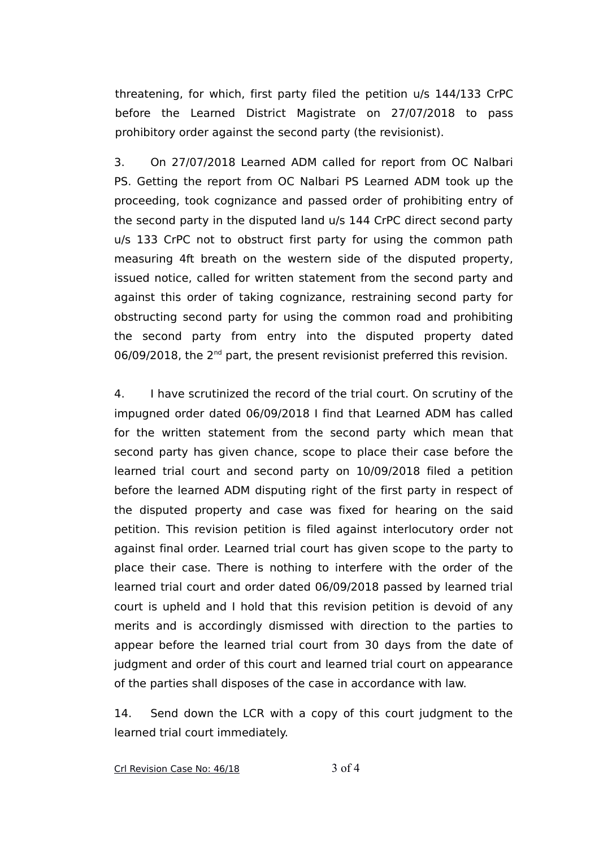threatening, for which, first party filed the petition u/s 144/133 CrPC before the Learned District Magistrate on 27/07/2018 to pass prohibitory order against the second party (the revisionist).

3. On 27/07/2018 Learned ADM called for report from OC Nalbari PS. Getting the report from OC Nalbari PS Learned ADM took up the proceeding, took cognizance and passed order of prohibiting entry of the second party in the disputed land u/s 144 CrPC direct second party u/s 133 CrPC not to obstruct first party for using the common path measuring 4ft breath on the western side of the disputed property, issued notice, called for written statement from the second party and against this order of taking cognizance, restraining second party for obstructing second party for using the common road and prohibiting the second party from entry into the disputed property dated 06/09/2018, the 2<sup>nd</sup> part, the present revisionist preferred this revision.

4. I have scrutinized the record of the trial court. On scrutiny of the impugned order dated 06/09/2018 I find that Learned ADM has called for the written statement from the second party which mean that second party has given chance, scope to place their case before the learned trial court and second party on 10/09/2018 filed a petition before the learned ADM disputing right of the first party in respect of the disputed property and case was fixed for hearing on the said petition. This revision petition is filed against interlocutory order not against final order. Learned trial court has given scope to the party to place their case. There is nothing to interfere with the order of the learned trial court and order dated 06/09/2018 passed by learned trial court is upheld and I hold that this revision petition is devoid of any merits and is accordingly dismissed with direction to the parties to appear before the learned trial court from 30 days from the date of judgment and order of this court and learned trial court on appearance of the parties shall disposes of the case in accordance with law.

14. Send down the LCR with a copy of this court judgment to the learned trial court immediately.

Crl Revision Case No: 46/18 3 of 4